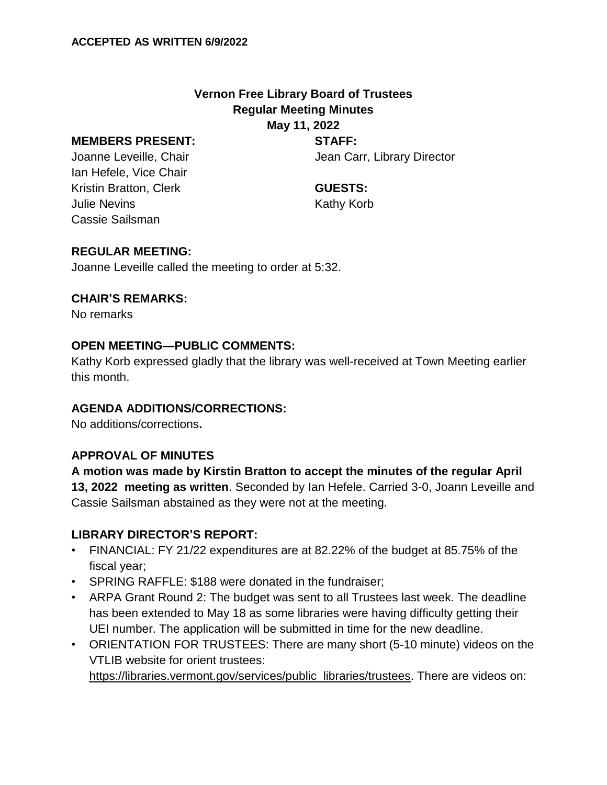### **Vernon Free Library Board of Trustees Regular Meeting Minutes May 11, 2022**

#### **MEMBERS PRESENT:**

Joanne Leveille, Chair Ian Hefele, Vice Chair Kristin Bratton, Clerk Julie Nevins Cassie Sailsman

**STAFF:**

Jean Carr, Library Director

**GUESTS:** Kathy Korb

### **REGULAR MEETING:**

Joanne Leveille called the meeting to order at 5:32.

### **CHAIR'S REMARKS:**

No remarks

### **OPEN MEETING—PUBLIC COMMENTS:**

Kathy Korb expressed gladly that the library was well-received at Town Meeting earlier this month.

### **AGENDA ADDITIONS/CORRECTIONS:**

No additions/corrections**.**

### **APPROVAL OF MINUTES**

**A motion was made by Kirstin Bratton to accept the minutes of the regular April 13, 2022 meeting as written**. Seconded by Ian Hefele. Carried 3-0, Joann Leveille and Cassie Sailsman abstained as they were not at the meeting.

### **LIBRARY DIRECTOR'S REPORT:**

- FINANCIAL: FY 21/22 expenditures are at 82.22% of the budget at 85.75% of the fiscal year;
- SPRING RAFFLE: \$188 were donated in the fundraiser;
- ARPA Grant Round 2: The budget was sent to all Trustees last week. The deadline has been extended to May 18 as some libraries were having difficulty getting their UEI number. The application will be submitted in time for the new deadline.
- ORIENTATION FOR TRUSTEES: There are many short (5-10 minute) videos on the VTLIB website for orient trustees:

[https://libraries.vermont.gov/services/public\\_libraries/trustees.](https://libraries.vermont.gov/services/public_libraries/trustees) There are videos on: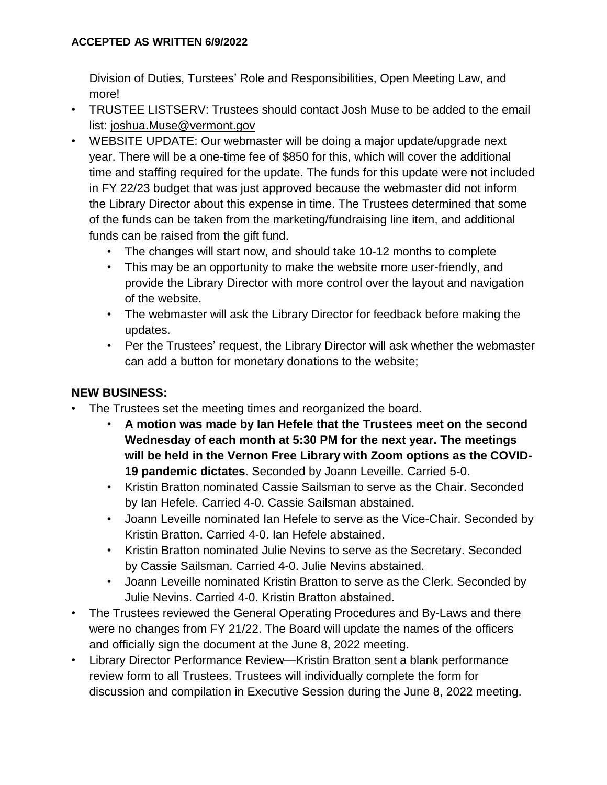### **ACCEPTED AS WRITTEN 6/9/2022**

Division of Duties, Turstees' Role and Responsibilities, Open Meeting Law, and more!

- TRUSTEE LISTSERV: Trustees should contact Josh Muse to be added to the email list: [joshua.Muse@vermont.gov](mailto:joshua.Muse@vermont.gov)
- WEBSITE UPDATE: Our webmaster will be doing a major update/upgrade next year. There will be a one-time fee of \$850 for this, which will cover the additional time and staffing required for the update. The funds for this update were not included in FY 22/23 budget that was just approved because the webmaster did not inform the Library Director about this expense in time. The Trustees determined that some of the funds can be taken from the marketing/fundraising line item, and additional funds can be raised from the gift fund.
	- The changes will start now, and should take 10-12 months to complete
	- This may be an opportunity to make the website more user-friendly, and provide the Library Director with more control over the layout and navigation of the website.
	- The webmaster will ask the Library Director for feedback before making the updates.
	- Per the Trustees' request, the Library Director will ask whether the webmaster can add a button for monetary donations to the website;

# **NEW BUSINESS:**

- The Trustees set the meeting times and reorganized the board.
	- **A motion was made by Ian Hefele that the Trustees meet on the second Wednesday of each month at 5:30 PM for the next year. The meetings will be held in the Vernon Free Library with Zoom options as the COVID-19 pandemic dictates**. Seconded by Joann Leveille. Carried 5-0.
	- Kristin Bratton nominated Cassie Sailsman to serve as the Chair. Seconded by Ian Hefele. Carried 4-0. Cassie Sailsman abstained.
	- Joann Leveille nominated Ian Hefele to serve as the Vice-Chair. Seconded by Kristin Bratton. Carried 4-0. Ian Hefele abstained.
	- Kristin Bratton nominated Julie Nevins to serve as the Secretary. Seconded by Cassie Sailsman. Carried 4-0. Julie Nevins abstained.
	- Joann Leveille nominated Kristin Bratton to serve as the Clerk. Seconded by Julie Nevins. Carried 4-0. Kristin Bratton abstained.
- The Trustees reviewed the General Operating Procedures and By-Laws and there were no changes from FY 21/22. The Board will update the names of the officers and officially sign the document at the June 8, 2022 meeting.
- Library Director Performance Review—Kristin Bratton sent a blank performance review form to all Trustees. Trustees will individually complete the form for discussion and compilation in Executive Session during the June 8, 2022 meeting.